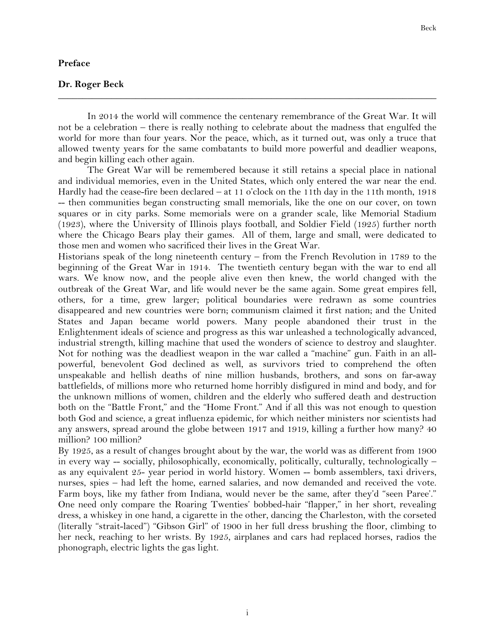## **Preface**

## **Dr. Roger Beck**

In 2014 the world will commence the centenary remembrance of the Great War. It will not be a celebration – there is really nothing to celebrate about the madness that engulfed the world for more than four years. Nor the peace, which, as it turned out, was only a truce that allowed twenty years for the same combatants to build more powerful and deadlier weapons, and begin killing each other again.

**\_\_\_\_\_\_\_\_\_\_\_\_\_\_\_\_\_\_\_\_\_\_\_\_\_\_\_\_\_\_\_\_\_\_\_\_\_\_\_\_\_\_\_\_\_\_\_\_\_\_\_\_\_\_\_\_\_\_\_\_\_\_\_\_\_\_\_\_\_\_\_\_\_\_\_\_\_\_**

The Great War will be remembered because it still retains a special place in national and individual memories, even in the United States, which only entered the war near the end. Hardly had the cease-fire been declared – at 11 o'clock on the 11th day in the 11th month, 1918 -- then communities began constructing small memorials, like the one on our cover, on town squares or in city parks. Some memorials were on a grander scale, like Memorial Stadium (1923), where the University of Illinois plays football, and Soldier Field (1925) further north where the Chicago Bears play their games. All of them, large and small, were dedicated to those men and women who sacrificed their lives in the Great War.

Historians speak of the long nineteenth century – from the French Revolution in 1789 to the beginning of the Great War in 1914. The twentieth century began with the war to end all wars. We know now, and the people alive even then knew, the world changed with the outbreak of the Great War, and life would never be the same again. Some great empires fell, others, for a time, grew larger; political boundaries were redrawn as some countries disappeared and new countries were born; communism claimed it first nation; and the United States and Japan became world powers. Many people abandoned their trust in the Enlightenment ideals of science and progress as this war unleashed a technologically advanced, industrial strength, killing machine that used the wonders of science to destroy and slaughter. Not for nothing was the deadliest weapon in the war called a "machine" gun. Faith in an allpowerful, benevolent God declined as well, as survivors tried to comprehend the often unspeakable and hellish deaths of nine million husbands, brothers, and sons on far-away battlefields, of millions more who returned home horribly disfigured in mind and body, and for the unknown millions of women, children and the elderly who suffered death and destruction both on the "Battle Front," and the "Home Front." And if all this was not enough to question both God and science, a great influenza epidemic, for which neither ministers nor scientists had any answers, spread around the globe between 1917 and 1919, killing a further how many? 40 million? 100 million?

By 1925, as a result of changes brought about by the war, the world was as different from 1900 in every way -- socially, philosophically, economically, politically, culturally, technologically – as any equivalent 25- year period in world history. Women -- bomb assemblers, taxi drivers, nurses, spies – had left the home, earned salaries, and now demanded and received the vote. Farm boys, like my father from Indiana, would never be the same, after they'd "seen Paree'." One need only compare the Roaring Twenties' bobbed-hair "flapper," in her short, revealing dress, a whiskey in one hand, a cigarette in the other, dancing the Charleston, with the corseted (literally "strait-laced") "Gibson Girl" of 1900 in her full dress brushing the floor, climbing to her neck, reaching to her wrists. By 1925, airplanes and cars had replaced horses, radios the phonograph, electric lights the gas light.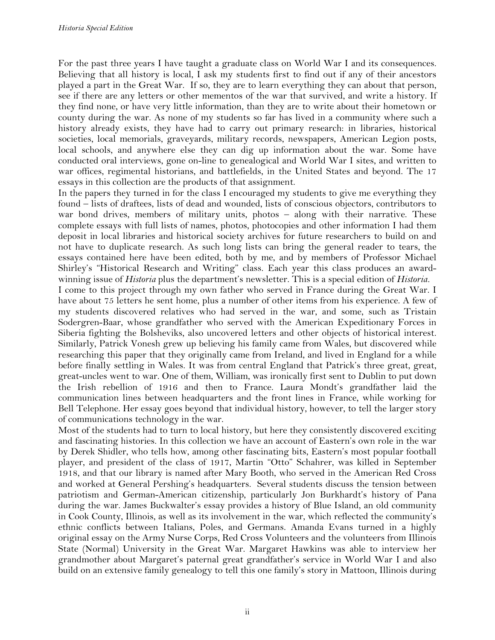For the past three years I have taught a graduate class on World War I and its consequences. Believing that all history is local, I ask my students first to find out if any of their ancestors played a part in the Great War. If so, they are to learn everything they can about that person, see if there are any letters or other mementos of the war that survived, and write a history. If they find none, or have very little information, than they are to write about their hometown or county during the war. As none of my students so far has lived in a community where such a history already exists, they have had to carry out primary research: in libraries, historical societies, local memorials, graveyards, military records, newspapers, American Legion posts, local schools, and anywhere else they can dig up information about the war. Some have conducted oral interviews, gone on-line to genealogical and World War I sites, and written to war offices, regimental historians, and battlefields, in the United States and beyond. The 17 essays in this collection are the products of that assignment.

In the papers they turned in for the class I encouraged my students to give me everything they found – lists of draftees, lists of dead and wounded, lists of conscious objectors, contributors to war bond drives, members of military units, photos – along with their narrative. These complete essays with full lists of names, photos, photocopies and other information I had them deposit in local libraries and historical society archives for future researchers to build on and not have to duplicate research. As such long lists can bring the general reader to tears, the essays contained here have been edited, both by me, and by members of Professor Michael Shirley's "Historical Research and Writing" class. Each year this class produces an awardwinning issue of *Historia* plus the department's newsletter. This is a special edition of *Historia.*

I come to this project through my own father who served in France during the Great War. I have about 75 letters he sent home, plus a number of other items from his experience. A few of my students discovered relatives who had served in the war, and some, such as Tristain Sodergren-Baar, whose grandfather who served with the American Expeditionary Forces in Siberia fighting the Bolsheviks, also uncovered letters and other objects of historical interest. Similarly, Patrick Vonesh grew up believing his family came from Wales, but discovered while researching this paper that they originally came from Ireland, and lived in England for a while before finally settling in Wales. It was from central England that Patrick's three great, great, great-uncles went to war. One of them, William, was ironically first sent to Dublin to put down the Irish rebellion of 1916 and then to France. Laura Mondt's grandfather laid the communication lines between headquarters and the front lines in France, while working for Bell Telephone. Her essay goes beyond that individual history, however, to tell the larger story of communications technology in the war.

Most of the students had to turn to local history, but here they consistently discovered exciting and fascinating histories. In this collection we have an account of Eastern's own role in the war by Derek Shidler, who tells how, among other fascinating bits, Eastern's most popular football player, and president of the class of 1917, Martin "Otto" Schahrer, was killed in September 1918, and that our library is named after Mary Booth, who served in the American Red Cross and worked at General Pershing's headquarters. Several students discuss the tension between patriotism and German-American citizenship, particularly Jon Burkhardt's history of Pana during the war. James Buckwalter's essay provides a history of Blue Island, an old community in Cook County, Illinois, as well as its involvement in the war, which reflected the community's ethnic conflicts between Italians, Poles, and Germans. Amanda Evans turned in a highly original essay on the Army Nurse Corps, Red Cross Volunteers and the volunteers from Illinois State (Normal) University in the Great War. Margaret Hawkins was able to interview her grandmother about Margaret's paternal great grandfather's service in World War I and also build on an extensive family genealogy to tell this one family's story in Mattoon, Illinois during